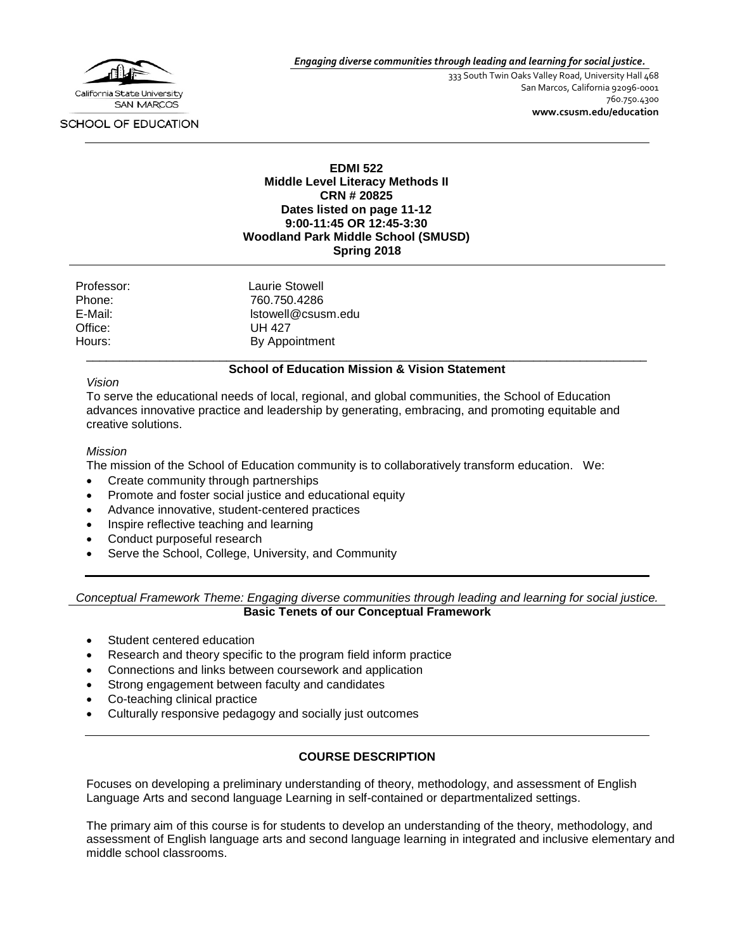

*Engaging diverse communities through leading and learning for social justice.*

333 South Twin Oaks Valley Road, University Hall 468 San Marcos, California 92096-0001 760.750.4300 **[www.csusm.edu/education](http://www.csusm.edu/education)**

#### SCHOOL OF EDUCATION

#### **EDMI 522 Middle Level Literacy Methods II CRN # 20825 Dates listed on page 11-12 9:00-11:45 OR 12:45-3:30 Woodland Park Middle School (SMUSD) Spring 2018**

| Laurie Stowell     |
|--------------------|
| 760.750.4286       |
| Istowell@csusm.edu |
| UH 427             |
| By Appointment     |
|                    |

#### \_\_\_\_\_\_\_\_\_\_\_\_\_\_\_\_\_\_\_\_\_\_\_\_\_\_\_\_\_\_\_\_\_\_\_\_\_\_\_\_\_\_\_\_\_\_\_\_\_\_\_\_\_\_\_\_\_\_\_\_\_\_\_\_\_\_\_\_\_\_\_\_\_\_\_\_\_\_\_\_\_\_\_\_ **School of Education Mission & Vision Statement**

#### *Vision*

To serve the educational needs of local, regional, and global communities, the School of Education advances innovative practice and leadership by generating, embracing, and promoting equitable and creative solutions.

#### *Mission*

The mission of the School of Education community is to collaboratively transform education. We:

- Create community through partnerships
- Promote and foster social justice and educational equity
- Advance innovative, student-centered practices
- Inspire reflective teaching and learning
- Conduct purposeful research
- Serve the School, College, University, and Community

*Conceptual Framework Theme: Engaging diverse communities through leading and learning for social justice.* **Basic Tenets of our Conceptual Framework**

- Student centered education
- Research and theory specific to the program field inform practice
- Connections and links between coursework and application
- Strong engagement between faculty and candidates
- Co-teaching clinical practice
- Culturally responsive pedagogy and socially just outcomes

#### **COURSE DESCRIPTION**

Focuses on developing a preliminary understanding of theory, methodology, and assessment of English Language Arts and second language Learning in self-contained or departmentalized settings.

The primary aim of this course is for students to develop an understanding of the theory, methodology, and assessment of English language arts and second language learning in integrated and inclusive elementary and middle school classrooms.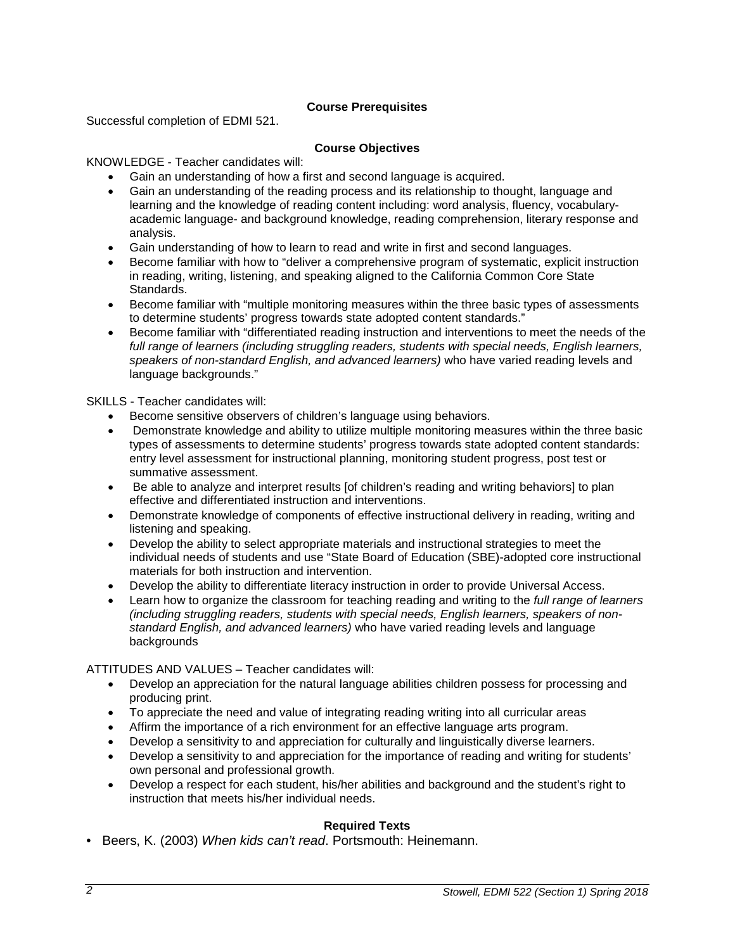## **Course Prerequisites**

Successful completion of EDMI 521.

## **Course Objectives**

## KNOWLEDGE - Teacher candidates will:

- Gain an understanding of how a first and second language is acquired.
- Gain an understanding of the reading process and its relationship to thought, language and learning and the knowledge of reading content including: word analysis, fluency, vocabularyacademic language- and background knowledge, reading comprehension, literary response and analysis.
- Gain understanding of how to learn to read and write in first and second languages.
- Become familiar with how to "deliver a comprehensive program of systematic, explicit instruction in reading, writing, listening, and speaking aligned to the California Common Core State Standards.
- Become familiar with "multiple monitoring measures within the three basic types of assessments to determine students' progress towards state adopted content standards."
- Become familiar with "differentiated reading instruction and interventions to meet the needs of the *full range of learners (including struggling readers, students with special needs, English learners, speakers of non-standard English, and advanced learners)* who have varied reading levels and language backgrounds."

SKILLS - Teacher candidates will:

- Become sensitive observers of children's language using behaviors.
- Demonstrate knowledge and ability to utilize multiple monitoring measures within the three basic types of assessments to determine students' progress towards state adopted content standards: entry level assessment for instructional planning, monitoring student progress, post test or summative assessment.
- Be able to analyze and interpret results [of children's reading and writing behaviors] to plan effective and differentiated instruction and interventions.
- Demonstrate knowledge of components of effective instructional delivery in reading, writing and listening and speaking.
- Develop the ability to select appropriate materials and instructional strategies to meet the individual needs of students and use "State Board of Education (SBE)-adopted core instructional materials for both instruction and intervention.
- Develop the ability to differentiate literacy instruction in order to provide Universal Access.
- Learn how to organize the classroom for teaching reading and writing to the *full range of learners (including struggling readers, students with special needs, English learners, speakers of nonstandard English, and advanced learners)* who have varied reading levels and language backgrounds

ATTITUDES AND VALUES – Teacher candidates will:

- Develop an appreciation for the natural language abilities children possess for processing and producing print.
- To appreciate the need and value of integrating reading writing into all curricular areas
- Affirm the importance of a rich environment for an effective language arts program.
- Develop a sensitivity to and appreciation for culturally and linguistically diverse learners.
- Develop a sensitivity to and appreciation for the importance of reading and writing for students' own personal and professional growth.
- Develop a respect for each student, his/her abilities and background and the student's right to instruction that meets his/her individual needs.

# **Required Texts**

• Beers, K. (2003) *When kids can't read*. Portsmouth: Heinemann.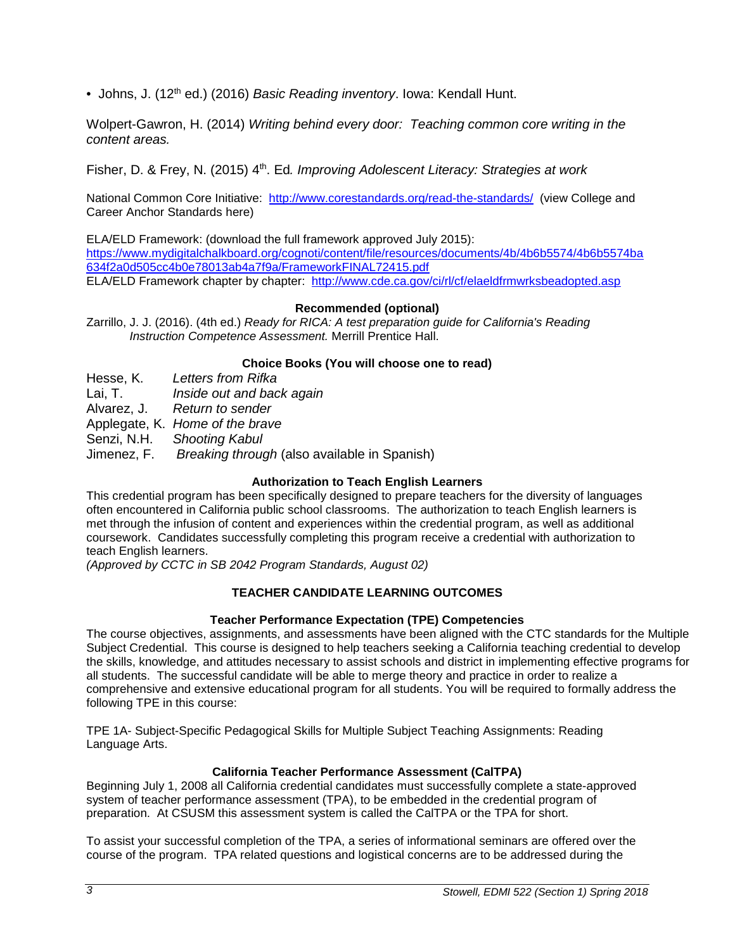• Johns, J. (12<sup>th</sup> ed.) (2016) *Basic Reading inventory*. Iowa: Kendall Hunt.

Wolpert-Gawron, H. (2014) *Writing behind every door: Teaching common core writing in the content areas.*

Fisher, D. & Frey, N. (2015) 4th. Ed*. Improving Adolescent Literacy: Strategies at work*

National Common Core Initiative: <http://www.corestandards.org/read-the-standards/>(view College and Career Anchor Standards here)

ELA/ELD Framework: (download the full framework approved July 2015): [https://www.mydigitalchalkboard.org/cognoti/content/file/resources/documents/4b/4b6b5574/4b6b5574ba](https://www.mydigitalchalkboard.org/cognoti/content/file/resources/documents/4b/4b6b5574/4b6b5574ba634f2a0d505cc4b0e78013ab4a7f9a/FrameworkFINAL72415.pdf) [634f2a0d505cc4b0e78013ab4a7f9a/FrameworkFINAL72415.pdf](https://www.mydigitalchalkboard.org/cognoti/content/file/resources/documents/4b/4b6b5574/4b6b5574ba634f2a0d505cc4b0e78013ab4a7f9a/FrameworkFINAL72415.pdf) ELA/ELD Framework chapter by chapter: <http://www.cde.ca.gov/ci/rl/cf/elaeldfrmwrksbeadopted.asp>

## **Recommended (optional)**

Zarrillo, J. J. (2016). (4th ed.) *Ready for RICA: A test preparation guide for California's Reading Instruction Competence Assessment.* Merrill Prentice Hall.

## **Choice Books (You will choose one to read)**

Hesse, K. *Letters from Rifka*

Inside out and back again

Alvarez, J. *Return to sender*

Applegate, K. *Home of the brave*

Senzi, N.H. *Shooting Kabul*

Jimenez, F. *Breaking through* (also available in Spanish)

# **Authorization to Teach English Learners**

This credential program has been specifically designed to prepare teachers for the diversity of languages often encountered in California public school classrooms. The authorization to teach English learners is met through the infusion of content and experiences within the credential program, as well as additional coursework. Candidates successfully completing this program receive a credential with authorization to teach English learners.

*(Approved by CCTC in SB 2042 Program Standards, August 02)*

## **TEACHER CANDIDATE LEARNING OUTCOMES**

## **Teacher Performance Expectation (TPE) Competencies**

The course objectives, assignments, and assessments have been aligned with the CTC standards for the Multiple Subject Credential. This course is designed to help teachers seeking a California teaching credential to develop the skills, knowledge, and attitudes necessary to assist schools and district in implementing effective programs for all students. The successful candidate will be able to merge theory and practice in order to realize a comprehensive and extensive educational program for all students. You will be required to formally address the following TPE in this course:

TPE 1A- Subject-Specific Pedagogical Skills for Multiple Subject Teaching Assignments: Reading Language Arts.

## **California Teacher Performance Assessment (CalTPA)**

Beginning July 1, 2008 all California credential candidates must successfully complete a state-approved system of teacher performance assessment (TPA), to be embedded in the credential program of preparation. At CSUSM this assessment system is called the CalTPA or the TPA for short.

To assist your successful completion of the TPA, a series of informational seminars are offered over the course of the program. TPA related questions and logistical concerns are to be addressed during the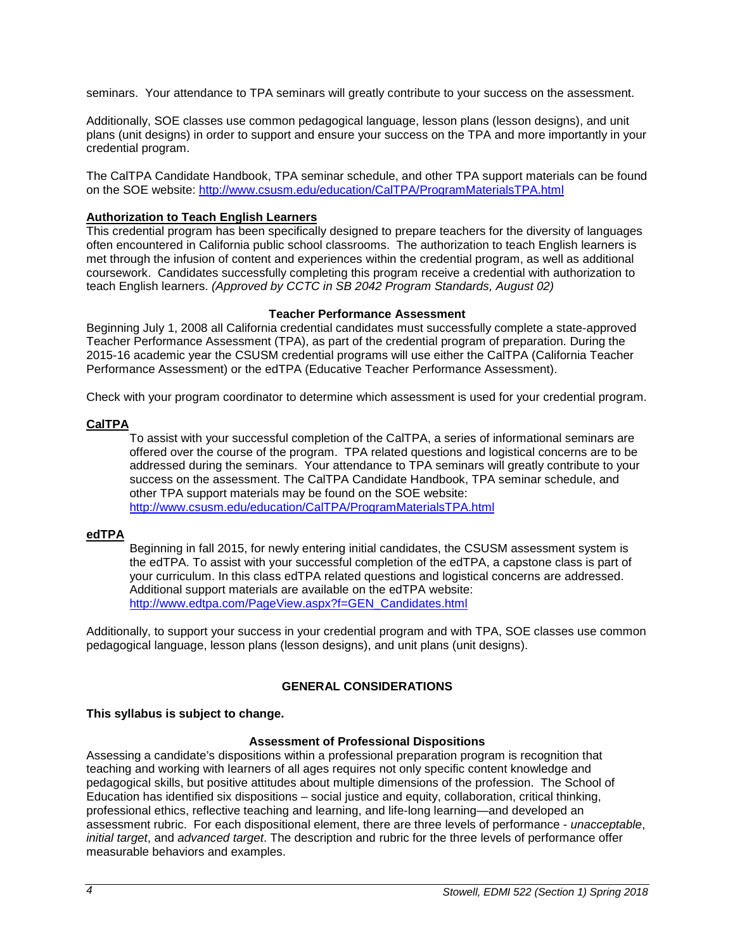seminars. Your attendance to TPA seminars will greatly contribute to your success on the assessment.

Additionally, SOE classes use common pedagogical language, lesson plans (lesson designs), and unit plans (unit designs) in order to support and ensure your success on the TPA and more importantly in your credential program.

The CalTPA Candidate Handbook, TPA seminar schedule, and other TPA support materials can be found on the SOE website:<http://www.csusm.edu/education/CalTPA/ProgramMaterialsTPA.html>

## **Authorization to Teach English Learners**

This credential program has been specifically designed to prepare teachers for the diversity of languages often encountered in California public school classrooms. The authorization to teach English learners is met through the infusion of content and experiences within the credential program, as well as additional coursework. Candidates successfully completing this program receive a credential with authorization to teach English learners. *(Approved by CCTC in SB 2042 Program Standards, August 02)*

#### **Teacher Performance Assessment**

Beginning July 1, 2008 all California credential candidates must successfully complete a state-approved Teacher Performance Assessment (TPA), as part of the credential program of preparation. During the 2015-16 academic year the CSUSM credential programs will use either the CalTPA (California Teacher Performance Assessment) or the edTPA (Educative Teacher Performance Assessment).

Check with your program coordinator to determine which assessment is used for your credential program.

#### **CalTPA**

To assist with your successful completion of the CalTPA, a series of informational seminars are offered over the course of the program. TPA related questions and logistical concerns are to be addressed during the seminars. Your attendance to TPA seminars will greatly contribute to your success on the assessment. The CalTPA Candidate Handbook, TPA seminar schedule, and other TPA support materials may be found on the SOE website: <http://www.csusm.edu/education/CalTPA/ProgramMaterialsTPA.html>

## **edTPA**

Beginning in fall 2015, for newly entering initial candidates, the CSUSM assessment system is the edTPA. To assist with your successful completion of the edTPA, a capstone class is part of your curriculum. In this class edTPA related questions and logistical concerns are addressed. Additional support materials are available on the edTPA website: [http://www.edtpa.com/PageView.aspx?f=GEN\\_Candidates.html](http://www.edtpa.com/PageView.aspx?f=GEN_Candidates.html)

Additionally, to support your success in your credential program and with TPA, SOE classes use common pedagogical language, lesson plans (lesson designs), and unit plans (unit designs).

## **GENERAL CONSIDERATIONS**

## **This syllabus is subject to change.**

## **Assessment of Professional Dispositions**

Assessing a candidate's dispositions within a professional preparation program is recognition that teaching and working with learners of all ages requires not only specific content knowledge and pedagogical skills, but positive attitudes about multiple dimensions of the profession. The School of Education has identified six dispositions – social justice and equity, collaboration, critical thinking, professional ethics, reflective teaching and learning, and life-long learning—and developed an assessment rubric. For each dispositional element, there are three levels of performance - *unacceptable*, *initial target*, and *advanced target*. The description and rubric for the three levels of performance offer measurable behaviors and examples.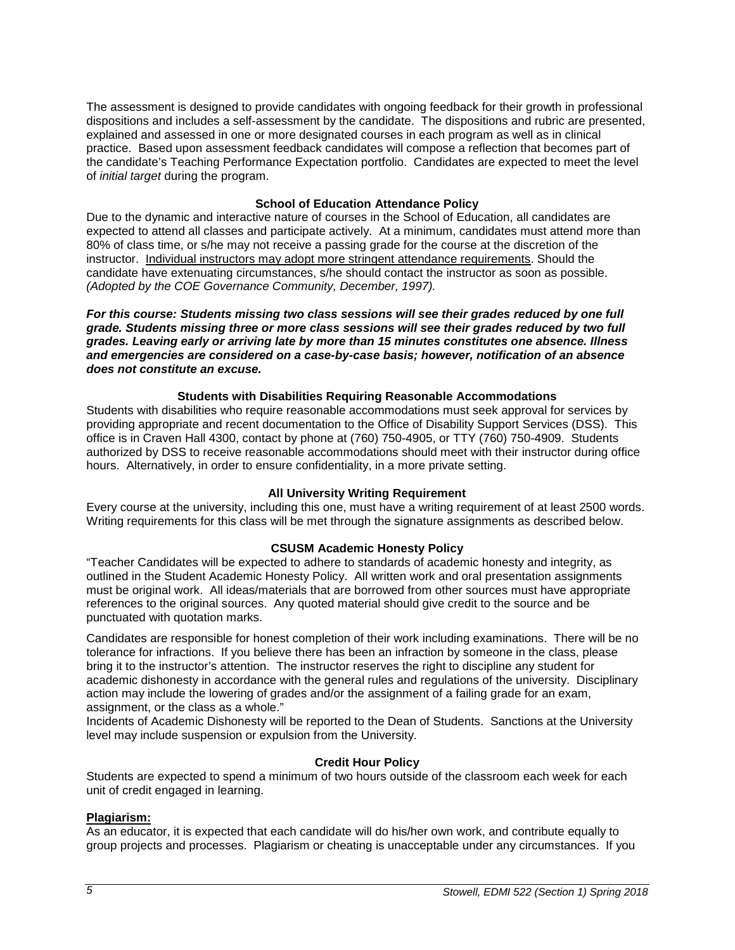The assessment is designed to provide candidates with ongoing feedback for their growth in professional dispositions and includes a self-assessment by the candidate. The dispositions and rubric are presented, explained and assessed in one or more designated courses in each program as well as in clinical practice. Based upon assessment feedback candidates will compose a reflection that becomes part of the candidate's Teaching Performance Expectation portfolio. Candidates are expected to meet the level of *initial target* during the program.

#### **School of Education Attendance Policy**

Due to the dynamic and interactive nature of courses in the School of Education, all candidates are expected to attend all classes and participate actively. At a minimum, candidates must attend more than 80% of class time, or s/he may not receive a passing grade for the course at the discretion of the instructor. Individual instructors may adopt more stringent attendance requirements. Should the candidate have extenuating circumstances, s/he should contact the instructor as soon as possible. *(Adopted by the COE Governance Community, December, 1997).*

*For this course: Students missing two class sessions will see their grades reduced by one full grade. Students missing three or more class sessions will see their grades reduced by two full grades. Leaving early or arriving late by more than 15 minutes constitutes one absence. Illness and emergencies are considered on a case-by-case basis; however, notification of an absence does not constitute an excuse.* 

#### **Students with Disabilities Requiring Reasonable Accommodations**

Students with disabilities who require reasonable accommodations must seek approval for services by providing appropriate and recent documentation to the Office of Disability Support Services (DSS). This office is in Craven Hall 4300, contact by phone at (760) 750-4905, or TTY (760) 750-4909. Students authorized by DSS to receive reasonable accommodations should meet with their instructor during office hours. Alternatively, in order to ensure confidentiality, in a more private setting.

#### **All University Writing Requirement**

Every course at the university, including this one, must have a writing requirement of at least 2500 words. Writing requirements for this class will be met through the signature assignments as described below.

#### **CSUSM Academic Honesty Policy**

"Teacher Candidates will be expected to adhere to standards of academic honesty and integrity, as outlined in the Student Academic Honesty Policy. All written work and oral presentation assignments must be original work. All ideas/materials that are borrowed from other sources must have appropriate references to the original sources. Any quoted material should give credit to the source and be punctuated with quotation marks.

Candidates are responsible for honest completion of their work including examinations. There will be no tolerance for infractions. If you believe there has been an infraction by someone in the class, please bring it to the instructor's attention. The instructor reserves the right to discipline any student for academic dishonesty in accordance with the general rules and regulations of the university. Disciplinary action may include the lowering of grades and/or the assignment of a failing grade for an exam, assignment, or the class as a whole."

Incidents of Academic Dishonesty will be reported to the Dean of Students. Sanctions at the University level may include suspension or expulsion from the University.

#### **Credit Hour Policy**

Students are expected to spend a minimum of two hours outside of the classroom each week for each unit of credit engaged in learning.

## **Plagiarism:**

As an educator, it is expected that each candidate will do his/her own work, and contribute equally to group projects and processes. Plagiarism or cheating is unacceptable under any circumstances. If you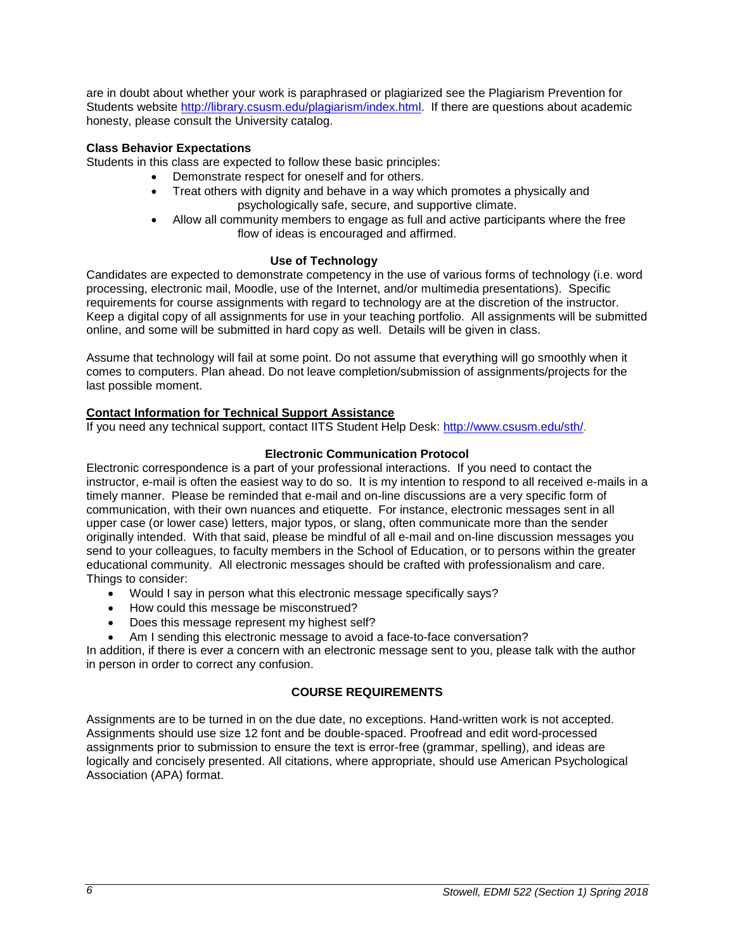are in doubt about whether your work is paraphrased or plagiarized see the Plagiarism Prevention for Students website [http://library.csusm.edu/plagiarism/index.html.](http://library.csusm.edu/plagiarism/index.html) If there are questions about academic honesty, please consult the University catalog.

## **Class Behavior Expectations**

Students in this class are expected to follow these basic principles:

- Demonstrate respect for oneself and for others.
- Treat others with dignity and behave in a way which promotes a physically and psychologically safe, secure, and supportive climate.
- Allow all community members to engage as full and active participants where the free flow of ideas is encouraged and affirmed.

## **Use of Technology**

Candidates are expected to demonstrate competency in the use of various forms of technology (i.e. word processing, electronic mail, Moodle, use of the Internet, and/or multimedia presentations). Specific requirements for course assignments with regard to technology are at the discretion of the instructor. Keep a digital copy of all assignments for use in your teaching portfolio. All assignments will be submitted online, and some will be submitted in hard copy as well. Details will be given in class.

Assume that technology will fail at some point. Do not assume that everything will go smoothly when it comes to computers. Plan ahead. Do not leave completion/submission of assignments/projects for the last possible moment.

## **Contact Information for Technical Support Assistance**

If you need any technical support, contact IITS Student Help Desk: [http://www.csusm.edu/sth/.](http://www.csusm.edu/sth/)

## **Electronic Communication Protocol**

Electronic correspondence is a part of your professional interactions. If you need to contact the instructor, e-mail is often the easiest way to do so. It is my intention to respond to all received e-mails in a timely manner. Please be reminded that e-mail and on-line discussions are a very specific form of communication, with their own nuances and etiquette. For instance, electronic messages sent in all upper case (or lower case) letters, major typos, or slang, often communicate more than the sender originally intended. With that said, please be mindful of all e-mail and on-line discussion messages you send to your colleagues, to faculty members in the School of Education, or to persons within the greater educational community. All electronic messages should be crafted with professionalism and care. Things to consider:

- Would I say in person what this electronic message specifically says?
- How could this message be misconstrued?
- Does this message represent my highest self?
- Am I sending this electronic message to avoid a face-to-face conversation?

In addition, if there is ever a concern with an electronic message sent to you, please talk with the author in person in order to correct any confusion.

# **COURSE REQUIREMENTS**

Assignments are to be turned in on the due date, no exceptions. Hand-written work is not accepted. Assignments should use size 12 font and be double-spaced. Proofread and edit word-processed assignments prior to submission to ensure the text is error-free (grammar, spelling), and ideas are logically and concisely presented. All citations, where appropriate, should use American Psychological Association (APA) format.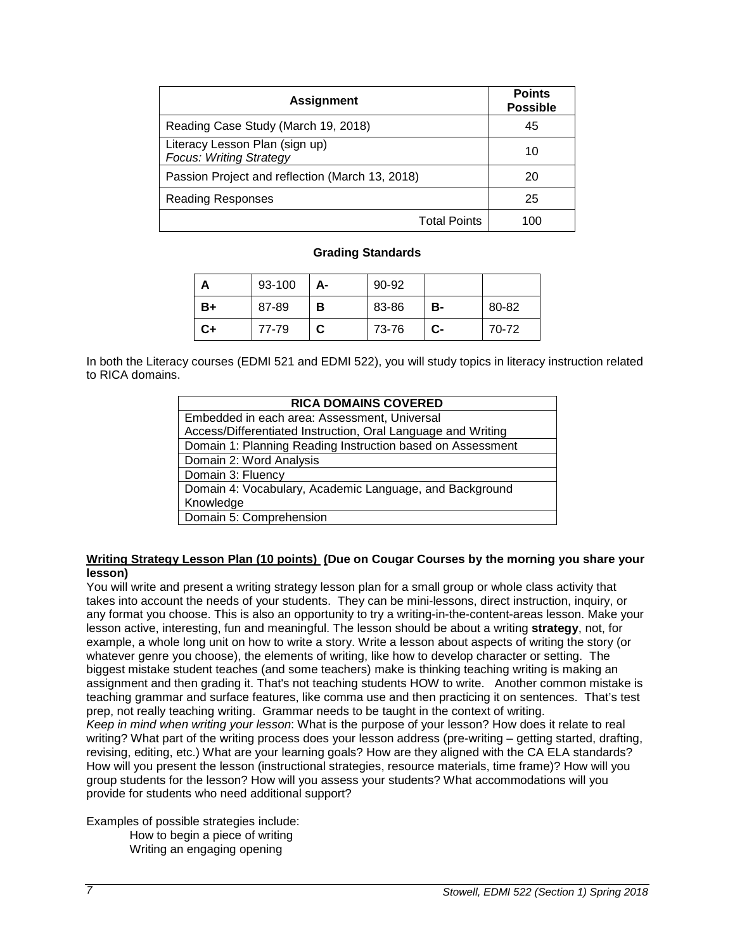| <b>Assignment</b>                                                | <b>Points</b><br><b>Possible</b> |
|------------------------------------------------------------------|----------------------------------|
| Reading Case Study (March 19, 2018)                              | 45                               |
| Literacy Lesson Plan (sign up)<br><b>Focus: Writing Strategy</b> | 10                               |
| Passion Project and reflection (March 13, 2018)                  | 20                               |
| <b>Reading Responses</b>                                         | 25                               |
| <b>Total Points</b>                                              | 100                              |

#### **Grading Standards**

| Α    | 93-100 | А- | $90 - 92$ |      |       |
|------|--------|----|-----------|------|-------|
| B+   | 87-89  | в  | 83-86     | в-   | 80-82 |
| $C+$ | 77-79  | С  | 73-76     | $c-$ | 70-72 |

In both the Literacy courses (EDMI 521 and EDMI 522), you will study topics in literacy instruction related to RICA domains.

| <b>RICA DOMAINS COVERED</b>                                  |  |  |
|--------------------------------------------------------------|--|--|
| Embedded in each area: Assessment, Universal                 |  |  |
| Access/Differentiated Instruction, Oral Language and Writing |  |  |
| Domain 1: Planning Reading Instruction based on Assessment   |  |  |
| Domain 2: Word Analysis                                      |  |  |
| Domain 3: Fluency                                            |  |  |
| Domain 4: Vocabulary, Academic Language, and Background      |  |  |
| Knowledge                                                    |  |  |
| Domain 5: Comprehension                                      |  |  |

#### **Writing Strategy Lesson Plan (10 points) (Due on Cougar Courses by the morning you share your lesson)**

You will write and present a writing strategy lesson plan for a small group or whole class activity that takes into account the needs of your students. They can be mini-lessons, direct instruction, inquiry, or any format you choose. This is also an opportunity to try a writing-in-the-content-areas lesson. Make your lesson active, interesting, fun and meaningful. The lesson should be about a writing **strategy**, not, for example, a whole long unit on how to write a story. Write a lesson about aspects of writing the story (or whatever genre you choose), the elements of writing, like how to develop character or setting. The biggest mistake student teaches (and some teachers) make is thinking teaching writing is making an assignment and then grading it. That's not teaching students HOW to write. Another common mistake is teaching grammar and surface features, like comma use and then practicing it on sentences. That's test prep, not really teaching writing. Grammar needs to be taught in the context of writing. *Keep in mind when writing your lesson*: What is the purpose of your lesson? How does it relate to real writing? What part of the writing process does your lesson address (pre-writing – getting started, drafting, revising, editing, etc.) What are your learning goals? How are they aligned with the CA ELA standards? How will you present the lesson (instructional strategies, resource materials, time frame)? How will you group students for the lesson? How will you assess your students? What accommodations will you provide for students who need additional support?

Examples of possible strategies include: How to begin a piece of writing Writing an engaging opening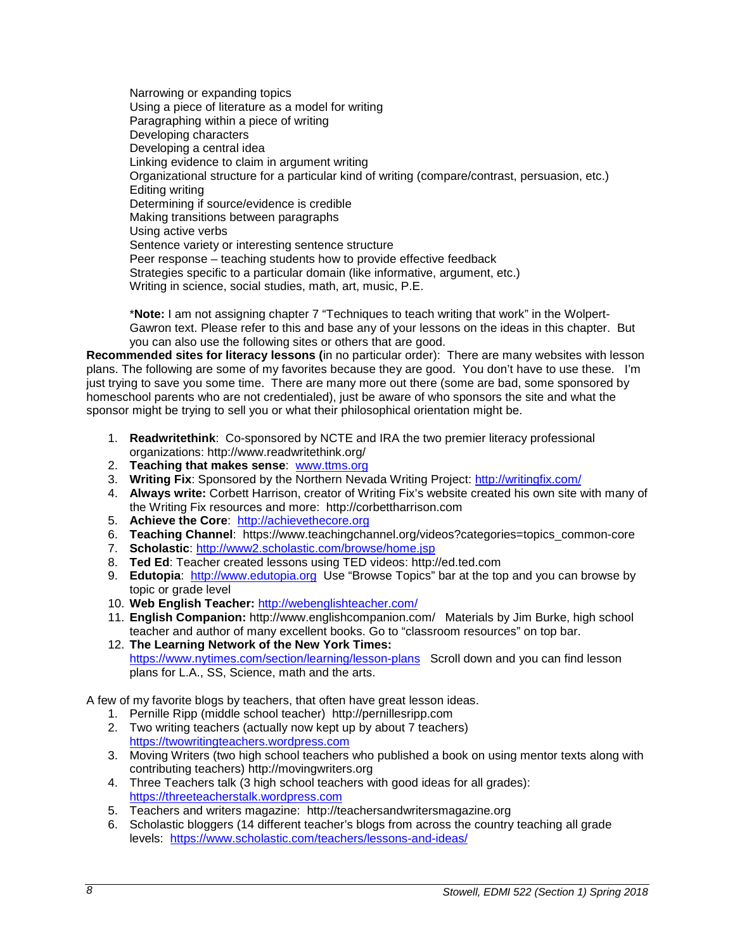Narrowing or expanding topics Using a piece of literature as a model for writing Paragraphing within a piece of writing Developing characters Developing a central idea Linking evidence to claim in argument writing Organizational structure for a particular kind of writing (compare/contrast, persuasion, etc.) Editing writing Determining if source/evidence is credible Making transitions between paragraphs Using active verbs Sentence variety or interesting sentence structure Peer response – teaching students how to provide effective feedback Strategies specific to a particular domain (like informative, argument, etc.) Writing in science, social studies, math, art, music, P.E.

\***Note:** I am not assigning chapter 7 "Techniques to teach writing that work" in the Wolpert-Gawron text. Please refer to this and base any of your lessons on the ideas in this chapter. But you can also use the following sites or others that are good.

**Recommended sites for literacy lessons (**in no particular order): There are many websites with lesson plans. The following are some of my favorites because they are good. You don't have to use these. I'm just trying to save you some time. There are many more out there (some are bad, some sponsored by homeschool parents who are not credentialed), just be aware of who sponsors the site and what the sponsor might be trying to sell you or what their philosophical orientation might be.

- 1. **Readwritethink**: Co-sponsored by NCTE and IRA the two premier literacy professional organizations: http://www.readwritethink.org/
- 2. **Teaching that makes sense**: [www.ttms.org](http://www.ttms.org/)
- 3. **Writing Fix**: Sponsored by the Northern Nevada Writing Project:<http://writingfix.com/>
- 4. **Always write:** Corbett Harrison, creator of Writing Fix's website created his own site with many of the Writing Fix resources and more: http://corbettharrison.com
- 5. **Achieve the Core**: [http://achievethecore.org](http://achievethecore.org/)
- 6. **Teaching Channel**: https://www.teachingchannel.org/videos?categories=topics\_common-core
- 7. **Scholastic**:<http://www2.scholastic.com/browse/home.jsp>
- 8. **Ted Ed**: Teacher created lessons using TED videos: http://ed.ted.com
- 9. **Edutopia**: [http://www.edutopia.org](http://www.edutopia.org/) Use "Browse Topics" bar at the top and you can browse by topic or grade level
- 10. **Web English Teacher:** <http://webenglishteacher.com/>
- 11. **English Companion:** http://www.englishcompanion.com/ Materials by Jim Burke, high school teacher and author of many excellent books. Go to "classroom resources" on top bar.
- 12. **The Learning Network of the New York Times:** <https://www.nytimes.com/section/learning/lesson-plans>Scroll down and you can find lesson plans for L.A., SS, Science, math and the arts.

A few of my favorite blogs by teachers, that often have great lesson ideas.

- 1. Pernille Ripp (middle school teacher) http://pernillesripp.com
- 2. Two writing teachers (actually now kept up by about 7 teachers) [https://twowritingteachers.wordpress.com](https://twowritingteachers.wordpress.com/)
- 3. Moving Writers (two high school teachers who published a book on using mentor texts along with contributing teachers) http://movingwriters.org
- 4. Three Teachers talk (3 high school teachers with good ideas for all grades): [https://threeteacherstalk.wordpress.com](https://threeteacherstalk.wordpress.com/)
- 5. Teachers and writers magazine: http://teachersandwritersmagazine.org
- 6. Scholastic bloggers (14 different teacher's blogs from across the country teaching all grade levels: <https://www.scholastic.com/teachers/lessons-and-ideas/>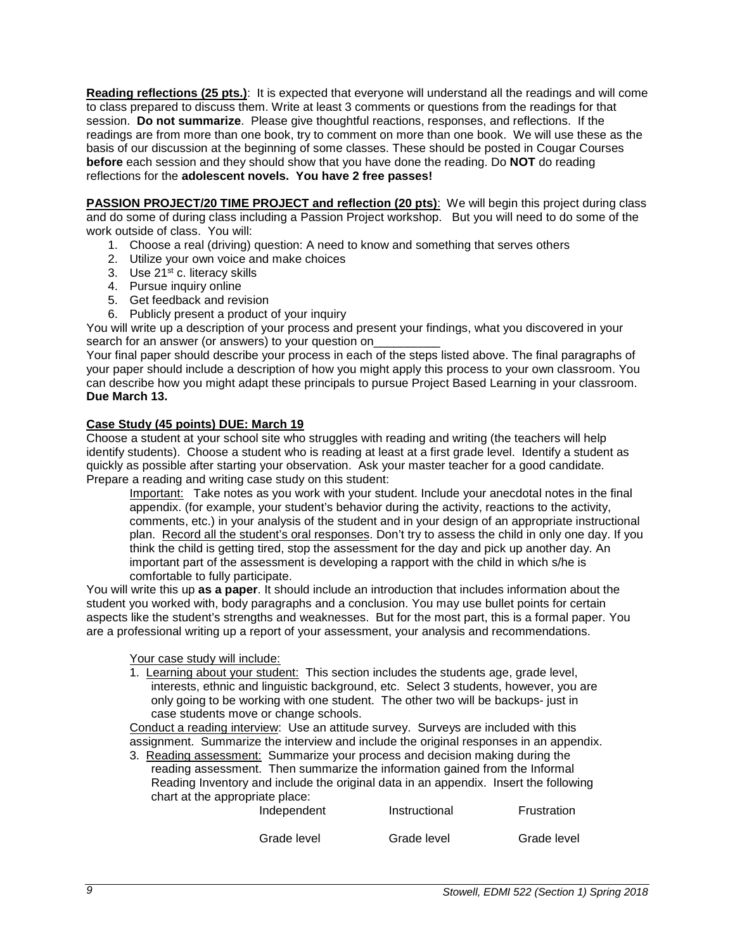**Reading reflections (25 pts.)**: It is expected that everyone will understand all the readings and will come to class prepared to discuss them. Write at least 3 comments or questions from the readings for that session. **Do not summarize**. Please give thoughtful reactions, responses, and reflections. If the readings are from more than one book, try to comment on more than one book. We will use these as the basis of our discussion at the beginning of some classes. These should be posted in Cougar Courses **before** each session and they should show that you have done the reading. Do **NOT** do reading reflections for the **adolescent novels. You have 2 free passes!**

**PASSION PROJECT/20 TIME PROJECT and reflection (20 pts)**: We will begin this project during class and do some of during class including a Passion Project workshop. But you will need to do some of the work outside of class. You will:

- 1. Choose a real (driving) question: A need to know and something that serves others
- 2. Utilize your own voice and make choices
- 3. Use 21<sup>st</sup> c. literacy skills
- 4. Pursue inquiry online
- 5. Get feedback and revision
- 6. Publicly present a product of your inquiry

You will write up a description of your process and present your findings, what you discovered in your search for an answer (or answers) to your question on

Your final paper should describe your process in each of the steps listed above. The final paragraphs of your paper should include a description of how you might apply this process to your own classroom. You can describe how you might adapt these principals to pursue Project Based Learning in your classroom. **Due March 13.**

## **Case Study (45 points) DUE: March 19**

Choose a student at your school site who struggles with reading and writing (the teachers will help identify students). Choose a student who is reading at least at a first grade level. Identify a student as quickly as possible after starting your observation. Ask your master teacher for a good candidate. Prepare a reading and writing case study on this student:

Important: Take notes as you work with your student. Include your anecdotal notes in the final appendix. (for example, your student's behavior during the activity, reactions to the activity, comments, etc.) in your analysis of the student and in your design of an appropriate instructional plan. Record all the student's oral responses. Don't try to assess the child in only one day. If you think the child is getting tired, stop the assessment for the day and pick up another day. An important part of the assessment is developing a rapport with the child in which s/he is comfortable to fully participate.

You will write this up **as a paper**. It should include an introduction that includes information about the student you worked with, body paragraphs and a conclusion. You may use bullet points for certain aspects like the student's strengths and weaknesses. But for the most part, this is a formal paper. You are a professional writing up a report of your assessment, your analysis and recommendations.

Your case study will include:

1. Learning about your student: This section includes the students age, grade level, interests, ethnic and linguistic background, etc. Select 3 students, however, you are only going to be working with one student. The other two will be backups- just in case students move or change schools.

Conduct a reading interview: Use an attitude survey. Surveys are included with this assignment. Summarize the interview and include the original responses in an appendix.

3. Reading assessment: Summarize your process and decision making during the reading assessment. Then summarize the information gained from the Informal Reading Inventory and include the original data in an appendix. Insert the following chart at the appropriate place:

| Independent | Instructional | Frustration |
|-------------|---------------|-------------|
| Grade level | Grade level   | Grade level |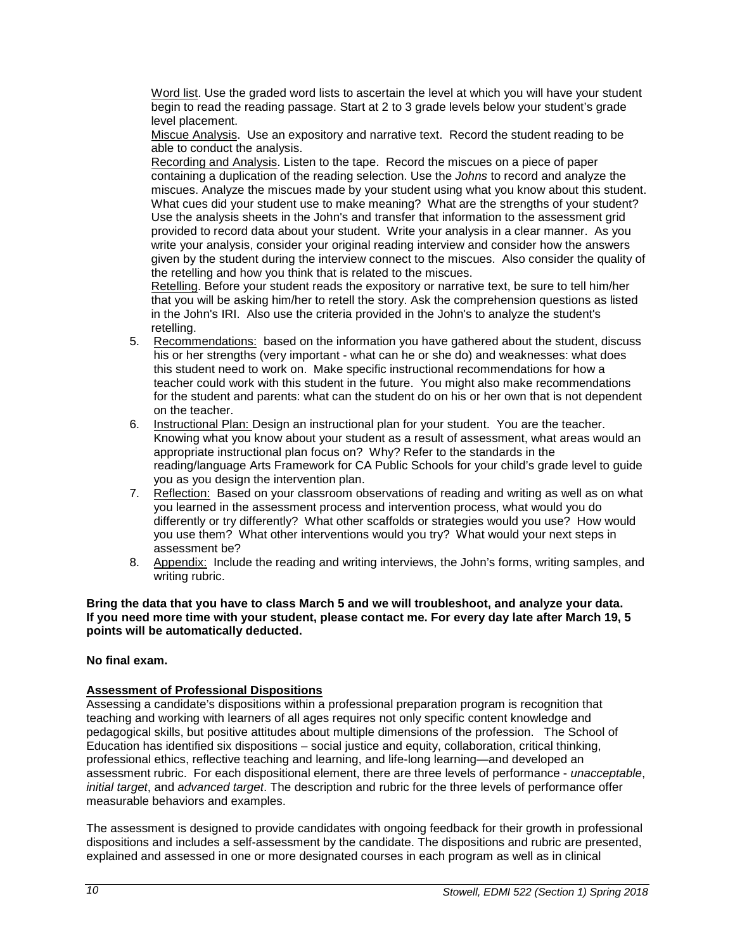Word list. Use the graded word lists to ascertain the level at which you will have your student begin to read the reading passage. Start at 2 to 3 grade levels below your student's grade level placement.

Miscue Analysis. Use an expository and narrative text. Record the student reading to be able to conduct the analysis.

Recording and Analysis. Listen to the tape. Record the miscues on a piece of paper containing a duplication of the reading selection. Use the *Johns* to record and analyze the miscues. Analyze the miscues made by your student using what you know about this student. What cues did your student use to make meaning? What are the strengths of your student? Use the analysis sheets in the John's and transfer that information to the assessment grid provided to record data about your student. Write your analysis in a clear manner. As you write your analysis, consider your original reading interview and consider how the answers given by the student during the interview connect to the miscues. Also consider the quality of the retelling and how you think that is related to the miscues.

Retelling. Before your student reads the expository or narrative text, be sure to tell him/her that you will be asking him/her to retell the story. Ask the comprehension questions as listed in the John's IRI. Also use the criteria provided in the John's to analyze the student's retelling.

- 5. Recommendations: based on the information you have gathered about the student, discuss his or her strengths (very important - what can he or she do) and weaknesses: what does this student need to work on. Make specific instructional recommendations for how a teacher could work with this student in the future. You might also make recommendations for the student and parents: what can the student do on his or her own that is not dependent on the teacher.
- 6. Instructional Plan: Design an instructional plan for your student. You are the teacher. Knowing what you know about your student as a result of assessment, what areas would an appropriate instructional plan focus on? Why? Refer to the standards in the reading/language Arts Framework for CA Public Schools for your child's grade level to guide you as you design the intervention plan.
- 7. Reflection: Based on your classroom observations of reading and writing as well as on what you learned in the assessment process and intervention process, what would you do differently or try differently? What other scaffolds or strategies would you use? How would you use them? What other interventions would you try? What would your next steps in assessment be?
- 8. Appendix: Include the reading and writing interviews, the John's forms, writing samples, and writing rubric.

#### **Bring the data that you have to class March 5 and we will troubleshoot, and analyze your data. If you need more time with your student, please contact me. For every day late after March 19, 5 points will be automatically deducted.**

## **No final exam.**

## **Assessment of Professional Dispositions**

Assessing a candidate's dispositions within a professional preparation program is recognition that teaching and working with learners of all ages requires not only specific content knowledge and pedagogical skills, but positive attitudes about multiple dimensions of the profession. The School of Education has identified six dispositions – social justice and equity, collaboration, critical thinking, professional ethics, reflective teaching and learning, and life-long learning—and developed an assessment rubric. For each dispositional element, there are three levels of performance - *unacceptable*, *initial target*, and *advanced target*. The description and rubric for the three levels of performance offer measurable behaviors and examples.

The assessment is designed to provide candidates with ongoing feedback for their growth in professional dispositions and includes a self-assessment by the candidate. The dispositions and rubric are presented, explained and assessed in one or more designated courses in each program as well as in clinical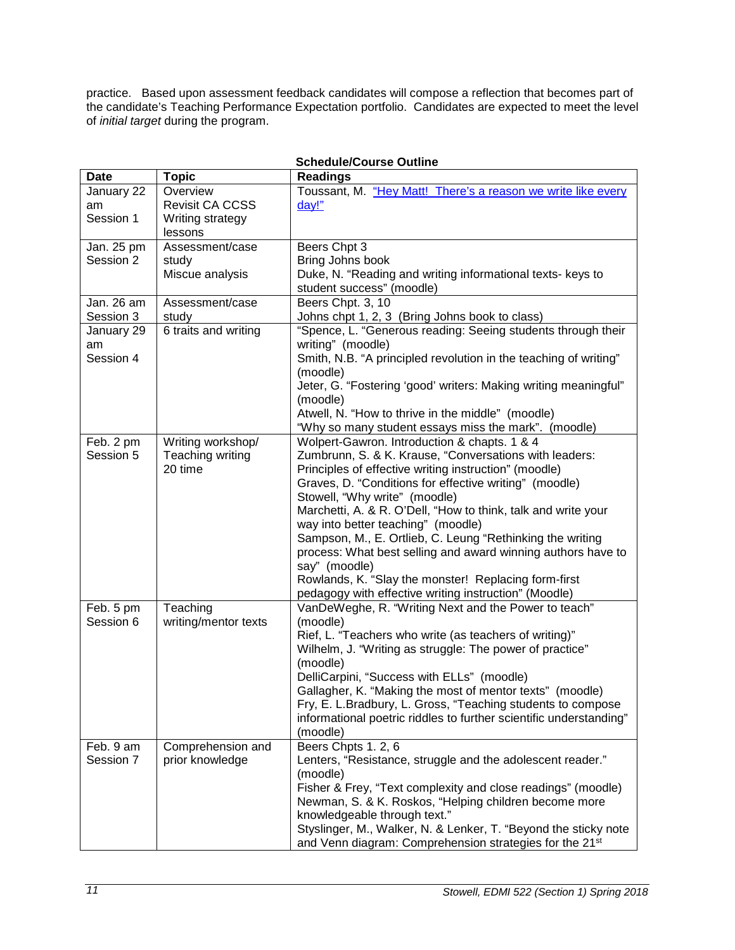practice. Based upon assessment feedback candidates will compose a reflection that becomes part of the candidate's Teaching Performance Expectation portfolio. Candidates are expected to meet the level of *initial target* during the program.

| <b>Date</b> | <b>Topic</b>         | <b>Readings</b>                                                                                        |
|-------------|----------------------|--------------------------------------------------------------------------------------------------------|
| January 22  | Overview             | Toussant, M. "Hey Matt! There's a reason we write like every                                           |
| am          | Revisit CA CCSS      | day!"                                                                                                  |
| Session 1   | Writing strategy     |                                                                                                        |
|             | lessons              |                                                                                                        |
| Jan. 25 pm  | Assessment/case      | Beers Chpt 3                                                                                           |
| Session 2   | study                | Bring Johns book                                                                                       |
|             | Miscue analysis      | Duke, N. "Reading and writing informational texts- keys to                                             |
|             |                      | student success" (moodle)                                                                              |
| Jan. 26 am  | Assessment/case      | Beers Chpt. 3, 10                                                                                      |
| Session 3   | study                | Johns chpt 1, 2, 3 (Bring Johns book to class)                                                         |
| January 29  | 6 traits and writing | "Spence, L. "Generous reading: Seeing students through their                                           |
| am          |                      | writing" (moodle)                                                                                      |
| Session 4   |                      | Smith, N.B. "A principled revolution in the teaching of writing"                                       |
|             |                      | (moodle)                                                                                               |
|             |                      | Jeter, G. "Fostering 'good' writers: Making writing meaningful"                                        |
|             |                      | (moodle)                                                                                               |
|             |                      | Atwell, N. "How to thrive in the middle" (moodle)                                                      |
|             |                      | "Why so many student essays miss the mark". (moodle)                                                   |
| Feb. 2 pm   | Writing workshop/    | Wolpert-Gawron. Introduction & chapts. 1 & 4                                                           |
| Session 5   | Teaching writing     | Zumbrunn, S. & K. Krause, "Conversations with leaders:                                                 |
|             | 20 time              | Principles of effective writing instruction" (moodle)                                                  |
|             |                      | Graves, D. "Conditions for effective writing" (moodle)                                                 |
|             |                      | Stowell, "Why write" (moodle)                                                                          |
|             |                      | Marchetti, A. & R. O'Dell, "How to think, talk and write your                                          |
|             |                      | way into better teaching" (moodle)                                                                     |
|             |                      | Sampson, M., E. Ortlieb, C. Leung "Rethinking the writing                                              |
|             |                      | process: What best selling and award winning authors have to                                           |
|             |                      | say" (moodle)                                                                                          |
|             |                      | Rowlands, K. "Slay the monster! Replacing form-first                                                   |
|             |                      | pedagogy with effective writing instruction" (Moodle)                                                  |
| Feb. 5 pm   | Teaching             | VanDeWeghe, R. "Writing Next and the Power to teach"                                                   |
| Session 6   | writing/mentor texts | (moodle)                                                                                               |
|             |                      | Rief, L. "Teachers who write (as teachers of writing)"                                                 |
|             |                      | Wilhelm, J. "Writing as struggle: The power of practice"                                               |
|             |                      | (moodle)                                                                                               |
|             |                      | DelliCarpini, "Success with ELLs" (moodle)<br>Gallagher, K. "Making the most of mentor texts" (moodle) |
|             |                      | Fry, E. L. Bradbury, L. Gross, "Teaching students to compose                                           |
|             |                      | informational poetric riddles to further scientific understanding"                                     |
|             |                      | (moodle)                                                                                               |
| Feb. 9 am   | Comprehension and    | Beers Chpts 1.2, 6                                                                                     |
| Session 7   | prior knowledge      | Lenters, "Resistance, struggle and the adolescent reader."                                             |
|             |                      | (moodle)                                                                                               |
|             |                      | Fisher & Frey, "Text complexity and close readings" (moodle)                                           |
|             |                      | Newman, S. & K. Roskos, "Helping children become more                                                  |
|             |                      | knowledgeable through text."                                                                           |
|             |                      | Styslinger, M., Walker, N. & Lenker, T. "Beyond the sticky note                                        |
|             |                      | and Venn diagram: Comprehension strategies for the 21 <sup>st</sup>                                    |

# **Schedule/Course Outline**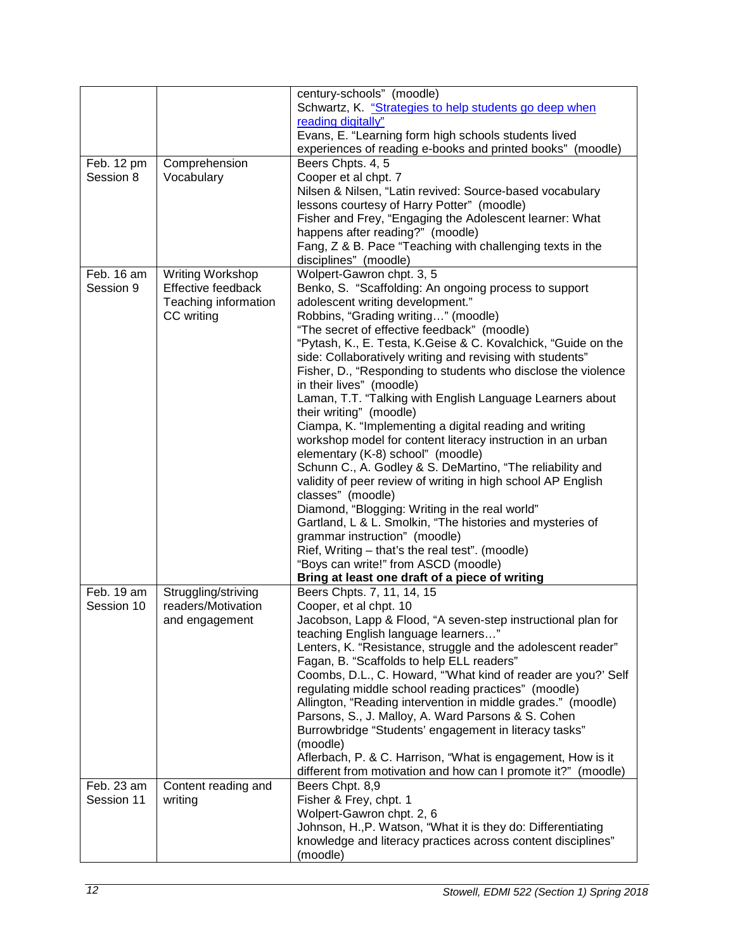|            |                      | century-schools" (moodle)                                      |
|------------|----------------------|----------------------------------------------------------------|
|            |                      | Schwartz, K. "Strategies to help students go deep when         |
|            |                      | reading digitally"                                             |
|            |                      | Evans, E. "Learning form high schools students lived           |
|            |                      | experiences of reading e-books and printed books" (moodle)     |
| Feb. 12 pm | Comprehension        | Beers Chpts. 4, 5                                              |
| Session 8  | Vocabulary           | Cooper et al chpt. 7                                           |
|            |                      | Nilsen & Nilsen, "Latin revived: Source-based vocabulary       |
|            |                      | lessons courtesy of Harry Potter" (moodle)                     |
|            |                      | Fisher and Frey, "Engaging the Adolescent learner: What        |
|            |                      | happens after reading?" (moodle)                               |
|            |                      | Fang, Z & B. Pace "Teaching with challenging texts in the      |
|            |                      | disciplines" (moodle)                                          |
| Feb. 16 am | Writing Workshop     | Wolpert-Gawron chpt. 3, 5                                      |
| Session 9  | Effective feedback   | Benko, S. "Scaffolding: An ongoing process to support          |
|            | Teaching information | adolescent writing development."                               |
|            | CC writing           | Robbins, "Grading writing" (moodle)                            |
|            |                      | "The secret of effective feedback" (moodle)                    |
|            |                      | "Pytash, K., E. Testa, K. Geise & C. Kovalchick, "Guide on the |
|            |                      | side: Collaboratively writing and revising with students"      |
|            |                      | Fisher, D., "Responding to students who disclose the violence  |
|            |                      | in their lives" (moodle)                                       |
|            |                      | Laman, T.T. "Talking with English Language Learners about      |
|            |                      | their writing" (moodle)                                        |
|            |                      |                                                                |
|            |                      | Ciampa, K. "Implementing a digital reading and writing         |
|            |                      | workshop model for content literacy instruction in an urban    |
|            |                      | elementary (K-8) school" (moodle)                              |
|            |                      | Schunn C., A. Godley & S. DeMartino, "The reliability and      |
|            |                      | validity of peer review of writing in high school AP English   |
|            |                      | classes" (moodle)                                              |
|            |                      | Diamond, "Blogging: Writing in the real world"                 |
|            |                      | Gartland, L & L. Smolkin, "The histories and mysteries of      |
|            |                      | grammar instruction" (moodle)                                  |
|            |                      | Rief, Writing - that's the real test". (moodle)                |
|            |                      | "Boys can write!" from ASCD (moodle)                           |
|            |                      | Bring at least one draft of a piece of writing                 |
| Feb. 19 am | Struggling/striving  | Beers Chpts. 7, 11, 14, 15                                     |
| Session 10 | readers/Motivation   | Cooper, et al chpt. 10                                         |
|            | and engagement       | Jacobson, Lapp & Flood, "A seven-step instructional plan for   |
|            |                      | teaching English language learners"                            |
|            |                      | Lenters, K. "Resistance, struggle and the adolescent reader"   |
|            |                      | Fagan, B. "Scaffolds to help ELL readers"                      |
|            |                      | Coombs, D.L., C. Howard, "'What kind of reader are you?' Self  |
|            |                      | regulating middle school reading practices" (moodle)           |
|            |                      | Allington, "Reading intervention in middle grades." (moodle)   |
|            |                      | Parsons, S., J. Malloy, A. Ward Parsons & S. Cohen             |
|            |                      | Burrowbridge "Students' engagement in literacy tasks"          |
|            |                      | (moodle)                                                       |
|            |                      | Aflerbach, P. & C. Harrison, "What is engagement, How is it    |
|            |                      | different from motivation and how can I promote it?" (moodle)  |
| Feb. 23 am | Content reading and  | Beers Chpt. 8,9                                                |
| Session 11 | writing              | Fisher & Frey, chpt. 1                                         |
|            |                      | Wolpert-Gawron chpt. 2, 6                                      |
|            |                      | Johnson, H., P. Watson, "What it is they do: Differentiating   |
|            |                      | knowledge and literacy practices across content disciplines"   |
|            |                      | (moodle)                                                       |